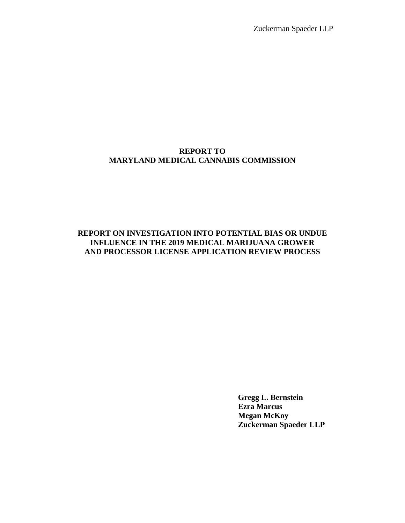Zuckerman Spaeder LLP

### **REPORT TO MARYLAND MEDICAL CANNABIS COMMISSION**

# **REPORT ON INVESTIGATION INTO POTENTIAL BIAS OR UNDUE INFLUENCE IN THE 2019 MEDICAL MARIJUANA GROWER AND PROCESSOR LICENSE APPLICATION REVIEW PROCESS**

**Gregg L. Bernstein Ezra Marcus Megan McKoy Zuckerman Spaeder LLP**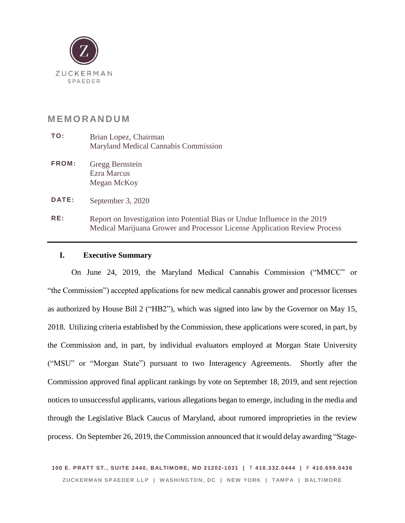

# **M EM O R AN D U M**

- **TO:** Brian Lopez, Chairman Maryland Medical Cannabis Commission
- **FROM:** Gregg Bernstein Ezra Marcus Megan McKoy

**DATE:** September 3, 2020

**RE:** Report on Investigation into Potential Bias or Undue Influence in the 2019 Medical Marijuana Grower and Processor License Application Review Process

### **I. Executive Summary**

On June 24, 2019, the Maryland Medical Cannabis Commission ("MMCC" or "the Commission") accepted applications for new medical cannabis grower and processor licenses as authorized by House Bill 2 ("HB2"), which was signed into law by the Governor on May 15, 2018. Utilizing criteria established by the Commission, these applications were scored, in part, by the Commission and, in part, by individual evaluators employed at Morgan State University ("MSU" or "Morgan State") pursuant to two Interagency Agreements. Shortly after the Commission approved final applicant rankings by vote on September 18, 2019, and sent rejection notices to unsuccessful applicants, various allegations began to emerge, including in the media and through the Legislative Black Caucus of Maryland, about rumored improprieties in the review process. On September 26, 2019, the Commission announced that it would delay awarding "Stage-

**100 E. PR ATT ST., SUI TE 2440, B ALTIMORE, MD 21202-1031 |** T **410.332.0444 |** F **410.659.0436** ZUCKERMAN SPAEDER LLP | WASHINGTON, DC | NEW YORK | TAMPA | BALTIMORE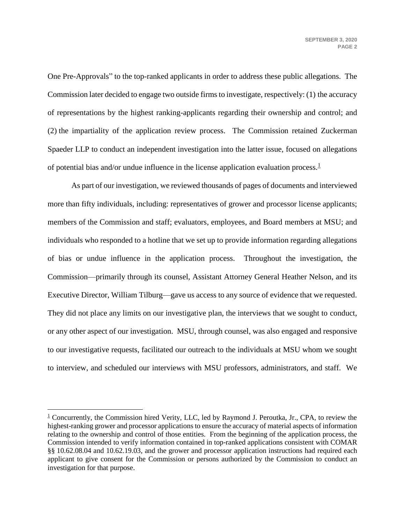One Pre-Approvals" to the top-ranked applicants in order to address these public allegations. The Commission later decided to engage two outside firms to investigate, respectively: (1) the accuracy of representations by the highest ranking-applicants regarding their ownership and control; and (2) the impartiality of the application review process. The Commission retained Zuckerman Spaeder LLP to conduct an independent investigation into the latter issue, focused on allegations of potential bias and/or undue influence in the license application evaluation process. $\frac{1}{1}$ 

As part of our investigation, we reviewed thousands of pages of documents and interviewed more than fifty individuals, including: representatives of grower and processor license applicants; members of the Commission and staff; evaluators, employees, and Board members at MSU; and individuals who responded to a hotline that we set up to provide information regarding allegations of bias or undue influence in the application process. Throughout the investigation, the Commission—primarily through its counsel, Assistant Attorney General Heather Nelson, and its Executive Director, William Tilburg—gave us access to any source of evidence that we requested. They did not place any limits on our investigative plan, the interviews that we sought to conduct, or any other aspect of our investigation. MSU, through counsel, was also engaged and responsive to our investigative requests, facilitated our outreach to the individuals at MSU whom we sought to interview, and scheduled our interviews with MSU professors, administrators, and staff. We

<sup>&</sup>lt;sup>1</sup> Concurrently, the Commission hired Verity, LLC, led by Raymond J. Peroutka, Jr., CPA, to review the highest-ranking grower and processor applications to ensure the accuracy of material aspects of information relating to the ownership and control of those entities. From the beginning of the application process, the Commission intended to verify information contained in top-ranked applications consistent with COMAR §§ 10.62.08.04 and 10.62.19.03, and the grower and processor application instructions had required each applicant to give consent for the Commission or persons authorized by the Commission to conduct an investigation for that purpose.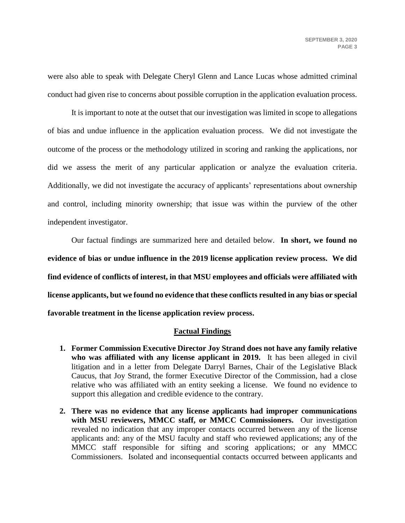were also able to speak with Delegate Cheryl Glenn and Lance Lucas whose admitted criminal conduct had given rise to concerns about possible corruption in the application evaluation process.

It is important to note at the outset that our investigation was limited in scope to allegations of bias and undue influence in the application evaluation process. We did not investigate the outcome of the process or the methodology utilized in scoring and ranking the applications, nor did we assess the merit of any particular application or analyze the evaluation criteria. Additionally, we did not investigate the accuracy of applicants' representations about ownership and control, including minority ownership; that issue was within the purview of the other independent investigator.

Our factual findings are summarized here and detailed below. **In short, we found no evidence of bias or undue influence in the 2019 license application review process. We did find evidence of conflicts of interest, in that MSU employees and officials were affiliated with license applicants, but we found no evidence that these conflicts resulted in any bias or special favorable treatment in the license application review process.**

### **Factual Findings**

- **1. Former Commission Executive Director Joy Strand does not have any family relative who was affiliated with any license applicant in 2019.** It has been alleged in civil litigation and in a letter from Delegate Darryl Barnes, Chair of the Legislative Black Caucus, that Joy Strand, the former Executive Director of the Commission, had a close relative who was affiliated with an entity seeking a license. We found no evidence to support this allegation and credible evidence to the contrary.
- **2. There was no evidence that any license applicants had improper communications with MSU reviewers, MMCC staff, or MMCC Commissioners.** Our investigation revealed no indication that any improper contacts occurred between any of the license applicants and: any of the MSU faculty and staff who reviewed applications; any of the MMCC staff responsible for sifting and scoring applications; or any MMCC Commissioners. Isolated and inconsequential contacts occurred between applicants and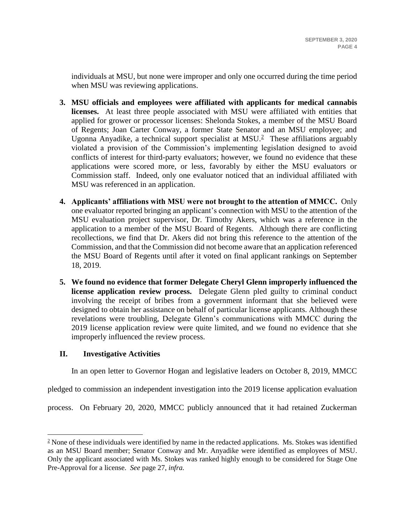individuals at MSU, but none were improper and only one occurred during the time period when MSU was reviewing applications.

- **3. MSU officials and employees were affiliated with applicants for medical cannabis licenses.** At least three people associated with MSU were affiliated with entities that applied for grower or processor licenses: Shelonda Stokes, a member of the MSU Board of Regents; Joan Carter Conway, a former State Senator and an MSU employee; and Ugonna Anyadike, a technical support specialist at  $MSU<sup>2</sup>$  These affiliations arguably violated a provision of the Commission's implementing legislation designed to avoid conflicts of interest for third-party evaluators; however, we found no evidence that these applications were scored more, or less, favorably by either the MSU evaluators or Commission staff. Indeed, only one evaluator noticed that an individual affiliated with MSU was referenced in an application.
- **4. Applicants' affiliations with MSU were not brought to the attention of MMCC.** Only one evaluator reported bringing an applicant's connection with MSU to the attention of the MSU evaluation project supervisor, Dr. Timothy Akers, which was a reference in the application to a member of the MSU Board of Regents. Although there are conflicting recollections, we find that Dr. Akers did not bring this reference to the attention of the Commission, and that the Commission did not become aware that an application referenced the MSU Board of Regents until after it voted on final applicant rankings on September 18, 2019.
- **5. We found no evidence that former Delegate Cheryl Glenn improperly influenced the license application review process.** Delegate Glenn pled guilty to criminal conduct involving the receipt of bribes from a government informant that she believed were designed to obtain her assistance on behalf of particular license applicants. Although these revelations were troubling, Delegate Glenn's communications with MMCC during the 2019 license application review were quite limited, and we found no evidence that she improperly influenced the review process.

# **II. Investigative Activities**

 $\overline{a}$ 

In an open letter to Governor Hogan and legislative leaders on October 8, 2019, MMCC

pledged to commission an independent investigation into the 2019 license application evaluation

process. On February 20, 2020, MMCC publicly announced that it had retained Zuckerman

 $\frac{2}{3}$  None of these individuals were identified by name in the redacted applications. Ms. Stokes was identified as an MSU Board member; Senator Conway and Mr. Anyadike were identified as employees of MSU. Only the applicant associated with Ms. Stokes was ranked highly enough to be considered for Stage One Pre-Approval for a license. *See* page 27, *infra.*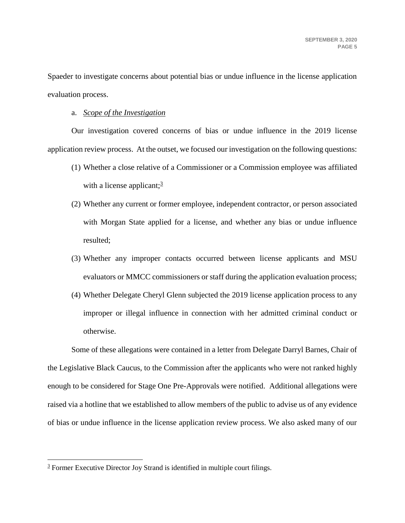Spaeder to investigate concerns about potential bias or undue influence in the license application evaluation process.

#### a. *Scope of the Investigation*

Our investigation covered concerns of bias or undue influence in the 2019 license application review process. At the outset, we focused our investigation on the following questions:

- (1) Whether a close relative of a Commissioner or a Commission employee was affiliated with a license applicant; $\frac{3}{2}$
- (2) Whether any current or former employee, independent contractor, or person associated with Morgan State applied for a license, and whether any bias or undue influence resulted;
- (3) Whether any improper contacts occurred between license applicants and MSU evaluators or MMCC commissioners or staff during the application evaluation process;
- (4) Whether Delegate Cheryl Glenn subjected the 2019 license application process to any improper or illegal influence in connection with her admitted criminal conduct or otherwise.

Some of these allegations were contained in a letter from Delegate Darryl Barnes, Chair of the Legislative Black Caucus, to the Commission after the applicants who were not ranked highly enough to be considered for Stage One Pre-Approvals were notified. Additional allegations were raised via a hotline that we established to allow members of the public to advise us of any evidence of bias or undue influence in the license application review process. We also asked many of our

<sup>&</sup>lt;sup>3</sup> Former Executive Director Joy Strand is identified in multiple court filings.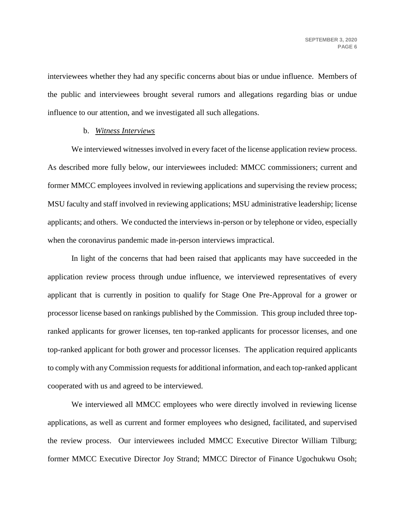interviewees whether they had any specific concerns about bias or undue influence. Members of the public and interviewees brought several rumors and allegations regarding bias or undue influence to our attention, and we investigated all such allegations.

#### b. *Witness Interviews*

We interviewed witnesses involved in every facet of the license application review process. As described more fully below, our interviewees included: MMCC commissioners; current and former MMCC employees involved in reviewing applications and supervising the review process; MSU faculty and staff involved in reviewing applications; MSU administrative leadership; license applicants; and others. We conducted the interviews in-person or by telephone or video, especially when the coronavirus pandemic made in-person interviews impractical.

In light of the concerns that had been raised that applicants may have succeeded in the application review process through undue influence, we interviewed representatives of every applicant that is currently in position to qualify for Stage One Pre-Approval for a grower or processor license based on rankings published by the Commission. This group included three topranked applicants for grower licenses, ten top-ranked applicants for processor licenses, and one top-ranked applicant for both grower and processor licenses. The application required applicants to comply with any Commission requests for additional information, and each top-ranked applicant cooperated with us and agreed to be interviewed.

We interviewed all MMCC employees who were directly involved in reviewing license applications, as well as current and former employees who designed, facilitated, and supervised the review process. Our interviewees included MMCC Executive Director William Tilburg; former MMCC Executive Director Joy Strand; MMCC Director of Finance Ugochukwu Osoh;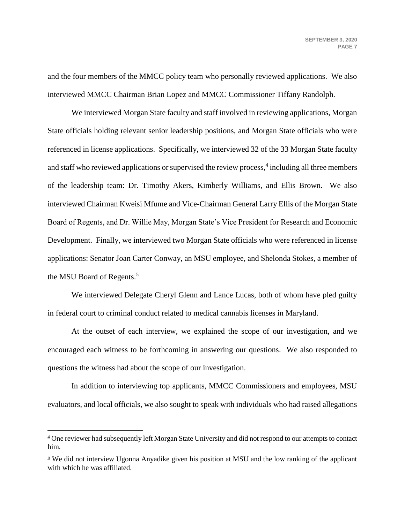and the four members of the MMCC policy team who personally reviewed applications. We also interviewed MMCC Chairman Brian Lopez and MMCC Commissioner Tiffany Randolph.

<span id="page-7-0"></span>We interviewed Morgan State faculty and staff involved in reviewing applications, Morgan State officials holding relevant senior leadership positions, and Morgan State officials who were referenced in license applications. Specifically, we interviewed 32 of the 33 Morgan State faculty and staff who reviewed applications or supervised the review process, $\frac{4}{3}$  including all three members of the leadership team: Dr. Timothy Akers, Kimberly Williams, and Ellis Brown. We also interviewed Chairman Kweisi Mfume and Vice-Chairman General Larry Ellis of the Morgan State Board of Regents, and Dr. Willie May, Morgan State's Vice President for Research and Economic Development. Finally, we interviewed two Morgan State officials who were referenced in license applications: Senator Joan Carter Conway, an MSU employee, and Shelonda Stokes, a member of the MSU Board of Regents.<sup>5</sup>

We interviewed Delegate Cheryl Glenn and Lance Lucas, both of whom have pled guilty in federal court to criminal conduct related to medical cannabis licenses in Maryland.

At the outset of each interview, we explained the scope of our investigation, and we encouraged each witness to be forthcoming in answering our questions. We also responded to questions the witness had about the scope of our investigation.

In addition to interviewing top applicants, MMCC Commissioners and employees, MSU evaluators, and local officials, we also sought to speak with individuals who had raised allegations

<sup>&</sup>lt;sup>4</sup> One reviewer had subsequently left Morgan State University and did not respond to our attempts to contact him.

<sup>&</sup>lt;sup>5</sup> We did not interview Ugonna Anyadike given his position at MSU and the low ranking of the applicant with which he was affiliated.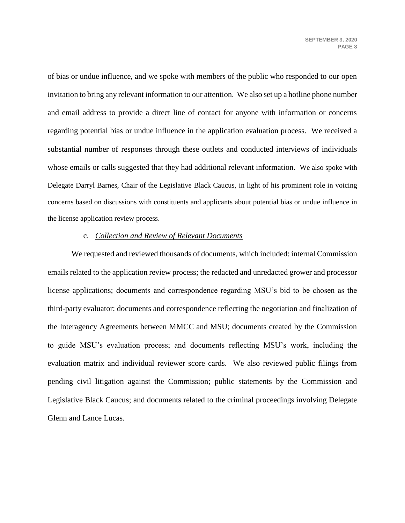of bias or undue influence, and we spoke with members of the public who responded to our open invitation to bring any relevant information to our attention. We also set up a hotline phone number and email address to provide a direct line of contact for anyone with information or concerns regarding potential bias or undue influence in the application evaluation process. We received a substantial number of responses through these outlets and conducted interviews of individuals whose emails or calls suggested that they had additional relevant information. We also spoke with Delegate Darryl Barnes, Chair of the Legislative Black Caucus, in light of his prominent role in voicing concerns based on discussions with constituents and applicants about potential bias or undue influence in the license application review process.

#### c. *Collection and Review of Relevant Documents*

We requested and reviewed thousands of documents, which included: internal Commission emails related to the application review process; the redacted and unredacted grower and processor license applications; documents and correspondence regarding MSU's bid to be chosen as the third-party evaluator; documents and correspondence reflecting the negotiation and finalization of the Interagency Agreements between MMCC and MSU; documents created by the Commission to guide MSU's evaluation process; and documents reflecting MSU's work, including the evaluation matrix and individual reviewer score cards. We also reviewed public filings from pending civil litigation against the Commission; public statements by the Commission and Legislative Black Caucus; and documents related to the criminal proceedings involving Delegate Glenn and Lance Lucas.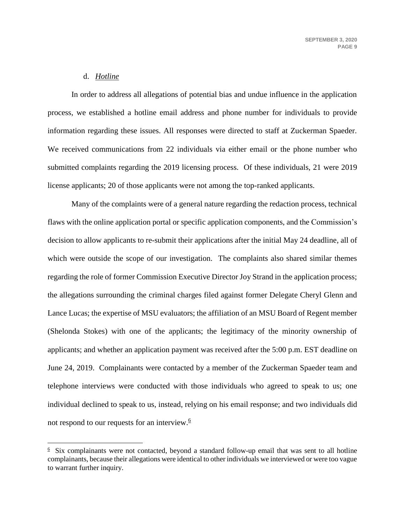### d. *Hotline*

 $\overline{a}$ 

In order to address all allegations of potential bias and undue influence in the application process, we established a hotline email address and phone number for individuals to provide information regarding these issues. All responses were directed to staff at Zuckerman Spaeder. We received communications from 22 individuals via either email or the phone number who submitted complaints regarding the 2019 licensing process. Of these individuals, 21 were 2019 license applicants; 20 of those applicants were not among the top-ranked applicants.

Many of the complaints were of a general nature regarding the redaction process, technical flaws with the online application portal or specific application components, and the Commission's decision to allow applicants to re-submit their applications after the initial May 24 deadline, all of which were outside the scope of our investigation. The complaints also shared similar themes regarding the role of former Commission Executive Director Joy Strand in the application process; the allegations surrounding the criminal charges filed against former Delegate Cheryl Glenn and Lance Lucas; the expertise of MSU evaluators; the affiliation of an MSU Board of Regent member (Shelonda Stokes) with one of the applicants; the legitimacy of the minority ownership of applicants; and whether an application payment was received after the 5:00 p.m. EST deadline on June 24, 2019. Complainants were contacted by a member of the Zuckerman Spaeder team and telephone interviews were conducted with those individuals who agreed to speak to us; one individual declined to speak to us, instead, relying on his email response; and two individuals did not respond to our requests for an interview. $6$ 

 $6$  Six complainants were not contacted, beyond a standard follow-up email that was sent to all hotline complainants, because their allegations were identical to other individuals we interviewed or were too vague to warrant further inquiry.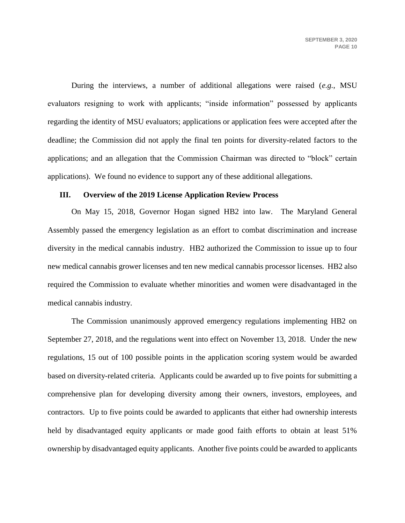During the interviews, a number of additional allegations were raised (*e.g.*, MSU evaluators resigning to work with applicants; "inside information" possessed by applicants regarding the identity of MSU evaluators; applications or application fees were accepted after the deadline; the Commission did not apply the final ten points for diversity-related factors to the applications; and an allegation that the Commission Chairman was directed to "block" certain applications). We found no evidence to support any of these additional allegations.

#### **III. Overview of the 2019 License Application Review Process**

On May 15, 2018, Governor Hogan signed HB2 into law. The Maryland General Assembly passed the emergency legislation as an effort to combat discrimination and increase diversity in the medical cannabis industry. HB2 authorized the Commission to issue up to four new medical cannabis grower licenses and ten new medical cannabis processor licenses. HB2 also required the Commission to evaluate whether minorities and women were disadvantaged in the medical cannabis industry.

The Commission unanimously approved emergency regulations implementing HB2 on September 27, 2018, and the regulations went into effect on November 13, 2018. Under the new regulations, 15 out of 100 possible points in the application scoring system would be awarded based on diversity-related criteria. Applicants could be awarded up to five points for submitting a comprehensive plan for developing diversity among their owners, investors, employees, and contractors. Up to five points could be awarded to applicants that either had ownership interests held by disadvantaged equity applicants or made good faith efforts to obtain at least 51% ownership by disadvantaged equity applicants. Another five points could be awarded to applicants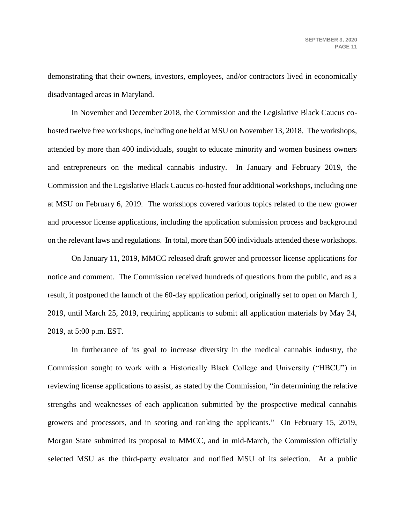demonstrating that their owners, investors, employees, and/or contractors lived in economically disadvantaged areas in Maryland.

In November and December 2018, the Commission and the Legislative Black Caucus cohosted twelve free workshops, including one held at MSU on November 13, 2018. The workshops, attended by more than 400 individuals, sought to educate minority and women business owners and entrepreneurs on the medical cannabis industry. In January and February 2019, the Commission and the Legislative Black Caucus co-hosted four additional workshops, including one at MSU on February 6, 2019. The workshops covered various topics related to the new grower and processor license applications, including the application submission process and background on the relevant laws and regulations. In total, more than 500 individuals attended these workshops.

On January 11, 2019, MMCC released draft grower and processor license applications for notice and comment. The Commission received hundreds of questions from the public, and as a result, it postponed the launch of the 60-day application period, originally set to open on March 1, 2019, until March 25, 2019, requiring applicants to submit all application materials by May 24, 2019, at 5:00 p.m. EST.

In furtherance of its goal to increase diversity in the medical cannabis industry, the Commission sought to work with a Historically Black College and University ("HBCU") in reviewing license applications to assist, as stated by the Commission, "in determining the relative strengths and weaknesses of each application submitted by the prospective medical cannabis growers and processors, and in scoring and ranking the applicants." On February 15, 2019, Morgan State submitted its proposal to MMCC, and in mid-March, the Commission officially selected MSU as the third-party evaluator and notified MSU of its selection. At a public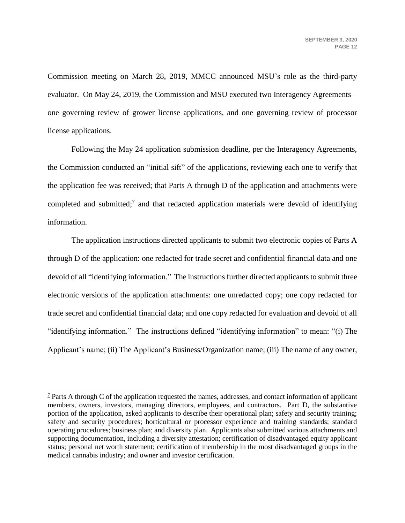Commission meeting on March 28, 2019, MMCC announced MSU's role as the third-party evaluator. On May 24, 2019, the Commission and MSU executed two Interagency Agreements – one governing review of grower license applications, and one governing review of processor license applications.

Following the May 24 application submission deadline, per the Interagency Agreements, the Commission conducted an "initial sift" of the applications, reviewing each one to verify that the application fee was received; that Parts A through D of the application and attachments were completed and submitted;<sup> $7$ </sup> and that redacted application materials were devoid of identifying information.

The application instructions directed applicants to submit two electronic copies of Parts A through D of the application: one redacted for trade secret and confidential financial data and one devoid of all "identifying information." The instructions further directed applicants to submit three electronic versions of the application attachments: one unredacted copy; one copy redacted for trade secret and confidential financial data; and one copy redacted for evaluation and devoid of all "identifying information." The instructions defined "identifying information" to mean: "(i) The Applicant's name; (ii) The Applicant's Business/Organization name; (iii) The name of any owner,

<sup>&</sup>lt;sup>7</sup> Parts A through C of the application requested the names, addresses, and contact information of applicant members, owners, investors, managing directors, employees, and contractors. Part D, the substantive portion of the application, asked applicants to describe their operational plan; safety and security training; safety and security procedures; horticultural or processor experience and training standards; standard operating procedures; business plan; and diversity plan. Applicants also submitted various attachments and supporting documentation, including a diversity attestation; certification of disadvantaged equity applicant status; personal net worth statement; certification of membership in the most disadvantaged groups in the medical cannabis industry; and owner and investor certification.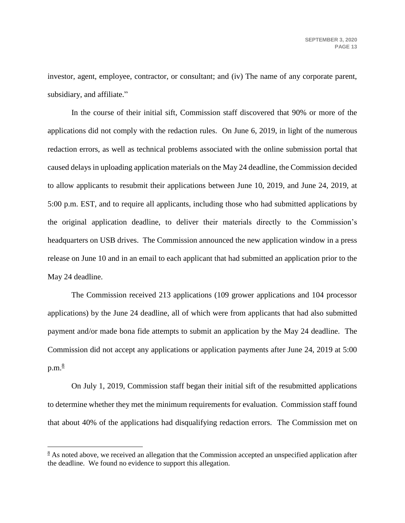investor, agent, employee, contractor, or consultant; and (iv) The name of any corporate parent, subsidiary, and affiliate."

In the course of their initial sift, Commission staff discovered that 90% or more of the applications did not comply with the redaction rules. On June 6, 2019, in light of the numerous redaction errors, as well as technical problems associated with the online submission portal that caused delays in uploading application materials on the May 24 deadline, the Commission decided to allow applicants to resubmit their applications between June 10, 2019, and June 24, 2019, at 5:00 p.m. EST, and to require all applicants, including those who had submitted applications by the original application deadline, to deliver their materials directly to the Commission's headquarters on USB drives. The Commission announced the new application window in a press release on June 10 and in an email to each applicant that had submitted an application prior to the May 24 deadline.

The Commission received 213 applications (109 grower applications and 104 processor applications) by the June 24 deadline, all of which were from applicants that had also submitted payment and/or made bona fide attempts to submit an application by the May 24 deadline. The Commission did not accept any applications or application payments after June 24, 2019 at 5:00  $p.m.<sub>8</sub>$ 

On July 1, 2019, Commission staff began their initial sift of the resubmitted applications to determine whether they met the minimum requirements for evaluation. Commission staff found that about 40% of the applications had disqualifying redaction errors. The Commission met on

 $8$  As noted above, we received an allegation that the Commission accepted an unspecified application after the deadline. We found no evidence to support this allegation.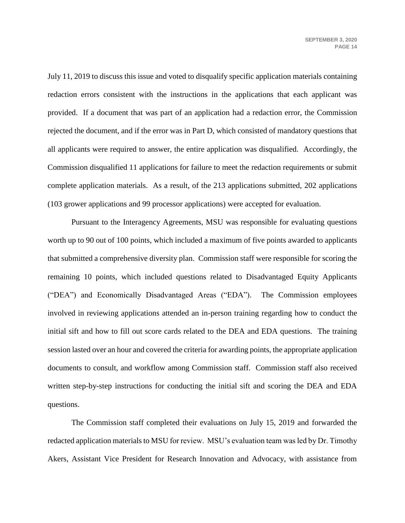July 11, 2019 to discuss this issue and voted to disqualify specific application materials containing redaction errors consistent with the instructions in the applications that each applicant was provided. If a document that was part of an application had a redaction error, the Commission rejected the document, and if the error was in Part D, which consisted of mandatory questions that all applicants were required to answer, the entire application was disqualified. Accordingly, the Commission disqualified 11 applications for failure to meet the redaction requirements or submit complete application materials. As a result, of the 213 applications submitted, 202 applications (103 grower applications and 99 processor applications) were accepted for evaluation.

Pursuant to the Interagency Agreements, MSU was responsible for evaluating questions worth up to 90 out of 100 points, which included a maximum of five points awarded to applicants that submitted a comprehensive diversity plan. Commission staff were responsible for scoring the remaining 10 points, which included questions related to Disadvantaged Equity Applicants ("DEA") and Economically Disadvantaged Areas ("EDA"). The Commission employees involved in reviewing applications attended an in-person training regarding how to conduct the initial sift and how to fill out score cards related to the DEA and EDA questions. The training session lasted over an hour and covered the criteria for awarding points, the appropriate application documents to consult, and workflow among Commission staff. Commission staff also received written step-by-step instructions for conducting the initial sift and scoring the DEA and EDA questions.

The Commission staff completed their evaluations on July 15, 2019 and forwarded the redacted application materials to MSU for review. MSU's evaluation team was led by Dr. Timothy Akers, Assistant Vice President for Research Innovation and Advocacy, with assistance from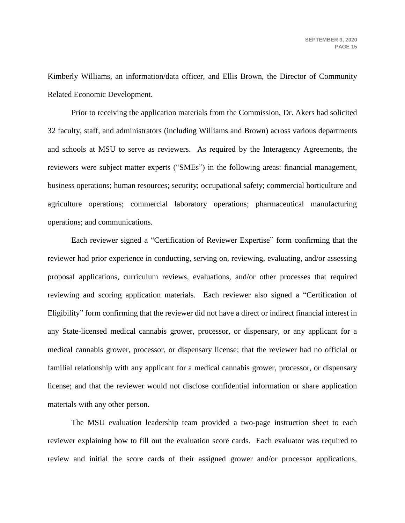Kimberly Williams, an information/data officer, and Ellis Brown, the Director of Community Related Economic Development.

Prior to receiving the application materials from the Commission, Dr. Akers had solicited 32 faculty, staff, and administrators (including Williams and Brown) across various departments and schools at MSU to serve as reviewers. As required by the Interagency Agreements, the reviewers were subject matter experts ("SMEs") in the following areas: financial management, business operations; human resources; security; occupational safety; commercial horticulture and agriculture operations; commercial laboratory operations; pharmaceutical manufacturing operations; and communications.

Each reviewer signed a "Certification of Reviewer Expertise" form confirming that the reviewer had prior experience in conducting, serving on, reviewing, evaluating, and/or assessing proposal applications, curriculum reviews, evaluations, and/or other processes that required reviewing and scoring application materials. Each reviewer also signed a "Certification of Eligibility" form confirming that the reviewer did not have a direct or indirect financial interest in any State-licensed medical cannabis grower, processor, or dispensary, or any applicant for a medical cannabis grower, processor, or dispensary license; that the reviewer had no official or familial relationship with any applicant for a medical cannabis grower, processor, or dispensary license; and that the reviewer would not disclose confidential information or share application materials with any other person.

The MSU evaluation leadership team provided a two-page instruction sheet to each reviewer explaining how to fill out the evaluation score cards. Each evaluator was required to review and initial the score cards of their assigned grower and/or processor applications,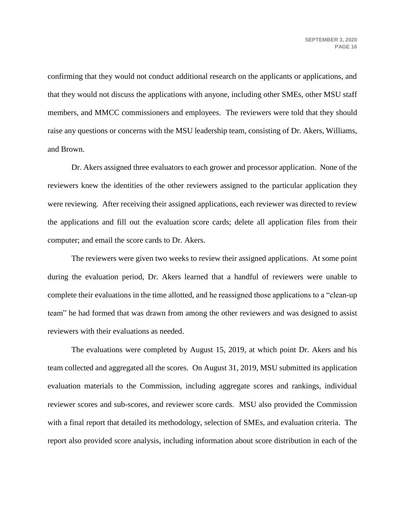confirming that they would not conduct additional research on the applicants or applications, and that they would not discuss the applications with anyone, including other SMEs, other MSU staff members, and MMCC commissioners and employees. The reviewers were told that they should raise any questions or concerns with the MSU leadership team, consisting of Dr. Akers, Williams, and Brown.

Dr. Akers assigned three evaluators to each grower and processor application. None of the reviewers knew the identities of the other reviewers assigned to the particular application they were reviewing. After receiving their assigned applications, each reviewer was directed to review the applications and fill out the evaluation score cards; delete all application files from their computer; and email the score cards to Dr. Akers.

The reviewers were given two weeks to review their assigned applications. At some point during the evaluation period, Dr. Akers learned that a handful of reviewers were unable to complete their evaluations in the time allotted, and he reassigned those applications to a "clean-up team" he had formed that was drawn from among the other reviewers and was designed to assist reviewers with their evaluations as needed.

The evaluations were completed by August 15, 2019, at which point Dr. Akers and his team collected and aggregated all the scores. On August 31, 2019, MSU submitted its application evaluation materials to the Commission, including aggregate scores and rankings, individual reviewer scores and sub-scores, and reviewer score cards. MSU also provided the Commission with a final report that detailed its methodology, selection of SMEs, and evaluation criteria. The report also provided score analysis, including information about score distribution in each of the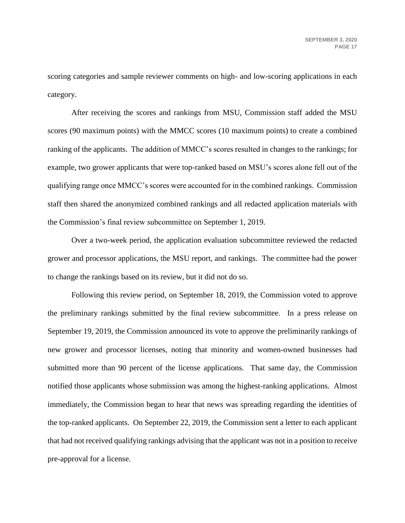scoring categories and sample reviewer comments on high- and low-scoring applications in each category.

After receiving the scores and rankings from MSU, Commission staff added the MSU scores (90 maximum points) with the MMCC scores (10 maximum points) to create a combined ranking of the applicants. The addition of MMCC's scores resulted in changes to the rankings; for example, two grower applicants that were top-ranked based on MSU's scores alone fell out of the qualifying range once MMCC's scores were accounted for in the combined rankings. Commission staff then shared the anonymized combined rankings and all redacted application materials with the Commission's final review subcommittee on September 1, 2019.

Over a two-week period, the application evaluation subcommittee reviewed the redacted grower and processor applications, the MSU report, and rankings. The committee had the power to change the rankings based on its review, but it did not do so.

Following this review period, on September 18, 2019, the Commission voted to approve the preliminary rankings submitted by the final review subcommittee. In a press release on September 19, 2019, the Commission announced its vote to approve the preliminarily rankings of new grower and processor licenses, noting that minority and women-owned businesses had submitted more than 90 percent of the license applications. That same day, the Commission notified those applicants whose submission was among the highest-ranking applications. Almost immediately, the Commission began to hear that news was spreading regarding the identities of the top-ranked applicants. On September 22, 2019, the Commission sent a letter to each applicant that had not received qualifying rankings advising that the applicant was not in a position to receive pre-approval for a license.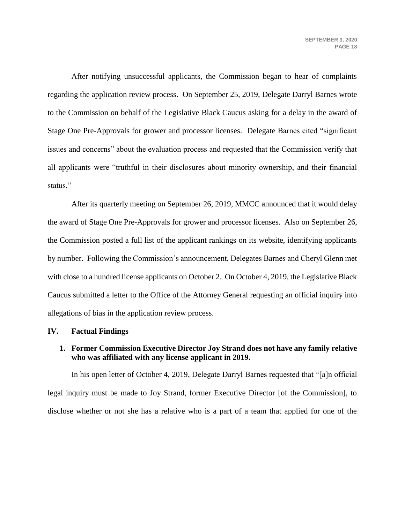After notifying unsuccessful applicants, the Commission began to hear of complaints regarding the application review process. On September 25, 2019, Delegate Darryl Barnes wrote to the Commission on behalf of the Legislative Black Caucus asking for a delay in the award of Stage One Pre-Approvals for grower and processor licenses. Delegate Barnes cited "significant issues and concerns" about the evaluation process and requested that the Commission verify that all applicants were "truthful in their disclosures about minority ownership, and their financial status."

After its quarterly meeting on September 26, 2019, MMCC announced that it would delay the award of Stage One Pre-Approvals for grower and processor licenses. Also on September 26, the Commission posted a full list of the applicant rankings on its website, identifying applicants by number. Following the Commission's announcement, Delegates Barnes and Cheryl Glenn met with close to a hundred license applicants on October 2. On October 4, 2019, the Legislative Black Caucus submitted a letter to the Office of the Attorney General requesting an official inquiry into allegations of bias in the application review process.

#### **IV. Factual Findings**

## **1. Former Commission Executive Director Joy Strand does not have any family relative who was affiliated with any license applicant in 2019.**

In his open letter of October 4, 2019, Delegate Darryl Barnes requested that "[a]n official legal inquiry must be made to Joy Strand, former Executive Director [of the Commission], to disclose whether or not she has a relative who is a part of a team that applied for one of the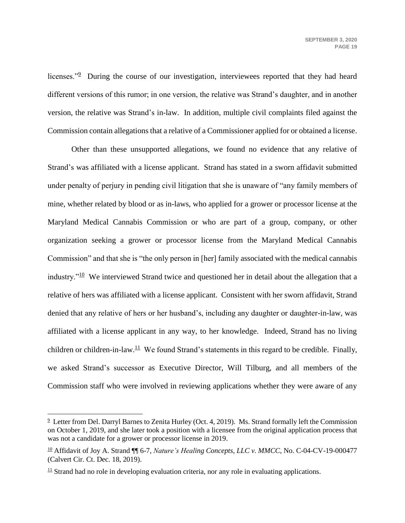licenses."<sup>9</sup> During the course of our investigation, interviewees reported that they had heard different versions of this rumor; in one version, the relative was Strand's daughter, and in another version, the relative was Strand's in-law. In addition, multiple civil complaints filed against the Commission contain allegations that a relative of a Commissioner applied for or obtained a license.

Other than these unsupported allegations, we found no evidence that any relative of Strand's was affiliated with a license applicant. Strand has stated in a sworn affidavit submitted under penalty of perjury in pending civil litigation that she is unaware of "any family members of mine, whether related by blood or as in-laws, who applied for a grower or processor license at the Maryland Medical Cannabis Commission or who are part of a group, company, or other organization seeking a grower or processor license from the Maryland Medical Cannabis Commission" and that she is "the only person in [her] family associated with the medical cannabis industry." $10$  We interviewed Strand twice and questioned her in detail about the allegation that a relative of hers was affiliated with a license applicant. Consistent with her sworn affidavit, Strand denied that any relative of hers or her husband's, including any daughter or daughter-in-law, was affiliated with a license applicant in any way, to her knowledge. Indeed, Strand has no living children or children-in-law. $11$  We found Strand's statements in this regard to be credible. Finally, we asked Strand's successor as Executive Director, Will Tilburg, and all members of the Commission staff who were involved in reviewing applications whether they were aware of any

 $9$  Letter from Del. Darryl Barnes to Zenita Hurley (Oct. 4, 2019). Ms. Strand formally left the Commission on October 1, 2019, and she later took a position with a licensee from the original application process that was not a candidate for a grower or processor license in 2019.

<sup>&</sup>lt;sup>10</sup> Affidavit of Joy A. Strand  $\P\P$  6-7, *Nature's Healing Concepts, LLC v. MMCC*, No. C-04-CV-19-000477 (Calvert Cir. Ct. Dec. 18, 2019).

 $\frac{11}{11}$  Strand had no role in developing evaluation criteria, nor any role in evaluating applications.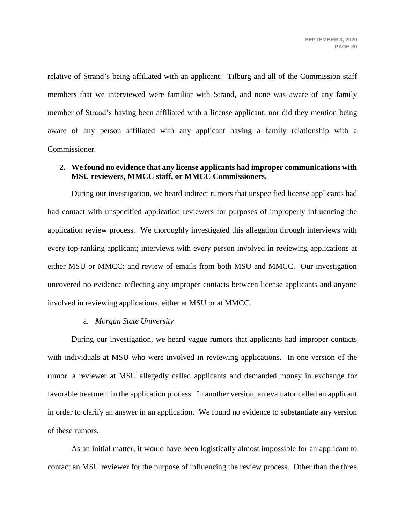relative of Strand's being affiliated with an applicant. Tilburg and all of the Commission staff members that we interviewed were familiar with Strand, and none was aware of any family member of Strand's having been affiliated with a license applicant, nor did they mention being aware of any person affiliated with any applicant having a family relationship with a Commissioner.

# **2. We found no evidence that any license applicants had improper communications with MSU reviewers, MMCC staff, or MMCC Commissioners.**

During our investigation, we heard indirect rumors that unspecified license applicants had had contact with unspecified application reviewers for purposes of improperly influencing the application review process. We thoroughly investigated this allegation through interviews with every top-ranking applicant; interviews with every person involved in reviewing applications at either MSU or MMCC; and review of emails from both MSU and MMCC. Our investigation uncovered no evidence reflecting any improper contacts between license applicants and anyone involved in reviewing applications, either at MSU or at MMCC.

#### a. *Morgan State University*

During our investigation, we heard vague rumors that applicants had improper contacts with individuals at MSU who were involved in reviewing applications. In one version of the rumor, a reviewer at MSU allegedly called applicants and demanded money in exchange for favorable treatment in the application process. In another version, an evaluator called an applicant in order to clarify an answer in an application. We found no evidence to substantiate any version of these rumors.

As an initial matter, it would have been logistically almost impossible for an applicant to contact an MSU reviewer for the purpose of influencing the review process. Other than the three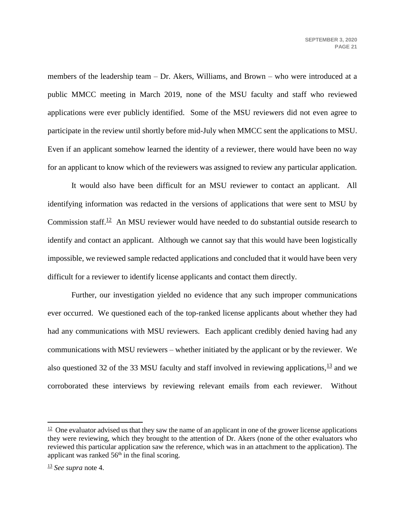members of the leadership team – Dr. Akers, Williams, and Brown – who were introduced at a public MMCC meeting in March 2019, none of the MSU faculty and staff who reviewed applications were ever publicly identified. Some of the MSU reviewers did not even agree to participate in the review until shortly before mid-July when MMCC sent the applications to MSU. Even if an applicant somehow learned the identity of a reviewer, there would have been no way for an applicant to know which of the reviewers was assigned to review any particular application.

It would also have been difficult for an MSU reviewer to contact an applicant. All identifying information was redacted in the versions of applications that were sent to MSU by Commission staff.<sup>12</sup> An MSU reviewer would have needed to do substantial outside research to identify and contact an applicant. Although we cannot say that this would have been logistically impossible, we reviewed sample redacted applications and concluded that it would have been very difficult for a reviewer to identify license applicants and contact them directly.

Further, our investigation yielded no evidence that any such improper communications ever occurred. We questioned each of the top-ranked license applicants about whether they had had any communications with MSU reviewers. Each applicant credibly denied having had any communications with MSU reviewers – whether initiated by the applicant or by the reviewer. We also questioned 32 of the 33 MSU faculty and staff involved in reviewing applications,  $\frac{13}{12}$  and we corroborated these interviews by reviewing relevant emails from each reviewer. Without

 $12$  One evaluator advised us that they saw the name of an applicant in one of the grower license applications they were reviewing, which they brought to the attention of Dr. Akers (none of the other evaluators who reviewed this particular application saw the reference, which was in an attachment to the application). The applicant was ranked  $56<sup>th</sup>$  in the final scoring.

<sup>13</sup> *See supra* note [4.](#page-7-0)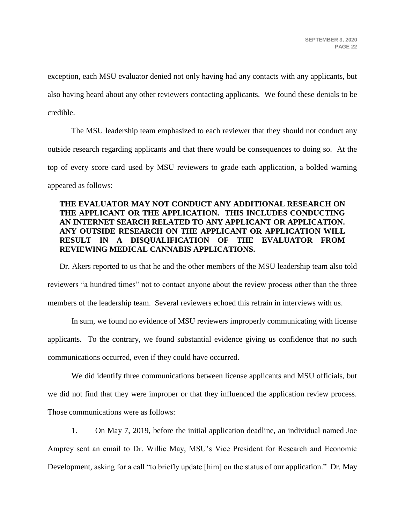exception, each MSU evaluator denied not only having had any contacts with any applicants, but also having heard about any other reviewers contacting applicants. We found these denials to be credible.

The MSU leadership team emphasized to each reviewer that they should not conduct any outside research regarding applicants and that there would be consequences to doing so. At the top of every score card used by MSU reviewers to grade each application, a bolded warning appeared as follows:

# **THE EVALUATOR MAY NOT CONDUCT ANY ADDITIONAL RESEARCH ON THE APPLICANT OR THE APPLICATION. THIS INCLUDES CONDUCTING AN INTERNET SEARCH RELATED TO ANY APPLICANT OR APPLICATION. ANY OUTSIDE RESEARCH ON THE APPLICANT OR APPLICATION WILL RESULT IN A DISQUALIFICATION OF THE EVALUATOR FROM REVIEWING MEDICAL CANNABIS APPLICATIONS.**

Dr. Akers reported to us that he and the other members of the MSU leadership team also told reviewers "a hundred times" not to contact anyone about the review process other than the three members of the leadership team. Several reviewers echoed this refrain in interviews with us.

In sum, we found no evidence of MSU reviewers improperly communicating with license applicants. To the contrary, we found substantial evidence giving us confidence that no such communications occurred, even if they could have occurred.

We did identify three communications between license applicants and MSU officials, but we did not find that they were improper or that they influenced the application review process. Those communications were as follows:

1. On May 7, 2019, before the initial application deadline, an individual named Joe Amprey sent an email to Dr. Willie May, MSU's Vice President for Research and Economic Development, asking for a call "to briefly update [him] on the status of our application." Dr. May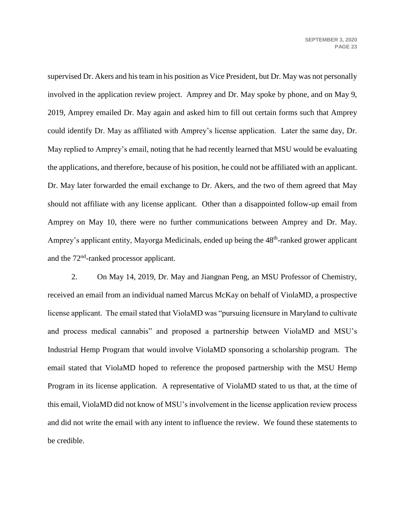supervised Dr. Akers and his team in his position as Vice President, but Dr. May was not personally involved in the application review project. Amprey and Dr. May spoke by phone, and on May 9, 2019, Amprey emailed Dr. May again and asked him to fill out certain forms such that Amprey could identify Dr. May as affiliated with Amprey's license application. Later the same day, Dr. May replied to Amprey's email, noting that he had recently learned that MSU would be evaluating the applications, and therefore, because of his position, he could not be affiliated with an applicant. Dr. May later forwarded the email exchange to Dr. Akers, and the two of them agreed that May should not affiliate with any license applicant. Other than a disappointed follow-up email from Amprey on May 10, there were no further communications between Amprey and Dr. May. Amprey's applicant entity, Mayorga Medicinals, ended up being the 48<sup>th</sup>-ranked grower applicant and the 72<sup>nd</sup>-ranked processor applicant.

2. On May 14, 2019, Dr. May and Jiangnan Peng, an MSU Professor of Chemistry, received an email from an individual named Marcus McKay on behalf of ViolaMD, a prospective license applicant. The email stated that ViolaMD was "pursuing licensure in Maryland to cultivate and process medical cannabis" and proposed a partnership between ViolaMD and MSU's Industrial Hemp Program that would involve ViolaMD sponsoring a scholarship program. The email stated that ViolaMD hoped to reference the proposed partnership with the MSU Hemp Program in its license application. A representative of ViolaMD stated to us that, at the time of this email, ViolaMD did not know of MSU's involvement in the license application review process and did not write the email with any intent to influence the review. We found these statements to be credible.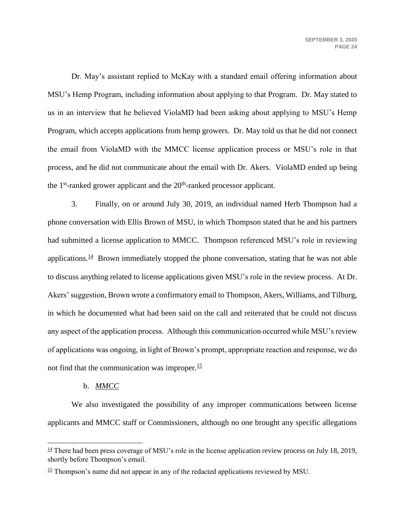Dr. May's assistant replied to McKay with a standard email offering information about MSU's Hemp Program, including information about applying to that Program. Dr. May stated to us in an interview that he believed ViolaMD had been asking about applying to MSU's Hemp Program, which accepts applications from hemp growers. Dr. May told us that he did not connect the email from ViolaMD with the MMCC license application process or MSU's role in that process, and he did not communicate about the email with Dr. Akers. ViolaMD ended up being the  $1<sup>st</sup>$ -ranked grower applicant and the  $20<sup>th</sup>$ -ranked processor applicant.

3. Finally, on or around July 30, 2019, an individual named Herb Thompson had a phone conversation with Ellis Brown of MSU, in which Thompson stated that he and his partners had submitted a license application to MMCC. Thompson referenced MSU's role in reviewing applications. $\frac{14}{14}$  Brown immediately stopped the phone conversation, stating that he was not able to discuss anything related to license applications given MSU's role in the review process. At Dr. Akers' suggestion, Brown wrote a confirmatory email to Thompson, Akers, Williams, and Tilburg, in which he documented what had been said on the call and reiterated that he could not discuss any aspect of the application process. Although this communication occurred while MSU's review of applications was ongoing, in light of Brown's prompt, appropriate reaction and response, we do not find that the communication was improper.<sup>15</sup>

#### b. *MMCC*

 $\overline{a}$ 

We also investigated the possibility of any improper communications between license applicants and MMCC staff or Commissioners, although no one brought any specific allegations

 $\frac{14}{11}$  There had been press coverage of MSU's role in the license application review process on July 18, 2019, shortly before Thompson's email.

 $15$  Thompson's name did not appear in any of the redacted applications reviewed by MSU.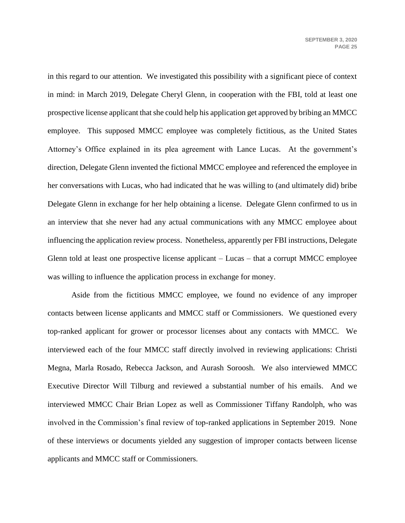in this regard to our attention. We investigated this possibility with a significant piece of context in mind: in March 2019, Delegate Cheryl Glenn, in cooperation with the FBI, told at least one prospective license applicant that she could help his application get approved by bribing an MMCC employee. This supposed MMCC employee was completely fictitious, as the United States Attorney's Office explained in its plea agreement with Lance Lucas. At the government's direction, Delegate Glenn invented the fictional MMCC employee and referenced the employee in her conversations with Lucas, who had indicated that he was willing to (and ultimately did) bribe Delegate Glenn in exchange for her help obtaining a license. Delegate Glenn confirmed to us in an interview that she never had any actual communications with any MMCC employee about influencing the application review process. Nonetheless, apparently per FBI instructions, Delegate Glenn told at least one prospective license applicant – Lucas – that a corrupt MMCC employee was willing to influence the application process in exchange for money.

Aside from the fictitious MMCC employee, we found no evidence of any improper contacts between license applicants and MMCC staff or Commissioners. We questioned every top-ranked applicant for grower or processor licenses about any contacts with MMCC. We interviewed each of the four MMCC staff directly involved in reviewing applications: Christi Megna, Marla Rosado, Rebecca Jackson, and Aurash Soroosh. We also interviewed MMCC Executive Director Will Tilburg and reviewed a substantial number of his emails. And we interviewed MMCC Chair Brian Lopez as well as Commissioner Tiffany Randolph, who was involved in the Commission's final review of top-ranked applications in September 2019. None of these interviews or documents yielded any suggestion of improper contacts between license applicants and MMCC staff or Commissioners.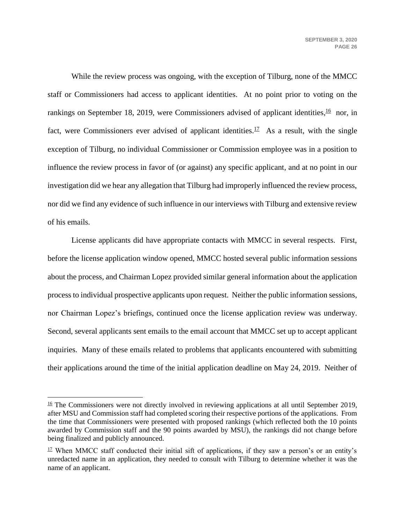While the review process was ongoing, with the exception of Tilburg, none of the MMCC staff or Commissioners had access to applicant identities. At no point prior to voting on the rankings on September 18, 2019, were Commissioners advised of applicant identities,  $\frac{16}{10}$  nor, in fact, were Commissioners ever advised of applicant identities.<sup>17</sup> As a result, with the single exception of Tilburg, no individual Commissioner or Commission employee was in a position to influence the review process in favor of (or against) any specific applicant, and at no point in our investigation did we hear any allegation that Tilburg had improperly influenced the review process, nor did we find any evidence of such influence in our interviews with Tilburg and extensive review of his emails.

License applicants did have appropriate contacts with MMCC in several respects. First, before the license application window opened, MMCC hosted several public information sessions about the process, and Chairman Lopez provided similar general information about the application process to individual prospective applicants upon request. Neither the public information sessions, nor Chairman Lopez's briefings, continued once the license application review was underway. Second, several applicants sent emails to the email account that MMCC set up to accept applicant inquiries. Many of these emails related to problems that applicants encountered with submitting their applications around the time of the initial application deadline on May 24, 2019. Neither of

 $\frac{16}{16}$  The Commissioners were not directly involved in reviewing applications at all until September 2019, after MSU and Commission staff had completed scoring their respective portions of the applications. From the time that Commissioners were presented with proposed rankings (which reflected both the 10 points awarded by Commission staff and the 90 points awarded by MSU), the rankings did not change before being finalized and publicly announced.

 $17$  When MMCC staff conducted their initial sift of applications, if they saw a person's or an entity's unredacted name in an application, they needed to consult with Tilburg to determine whether it was the name of an applicant.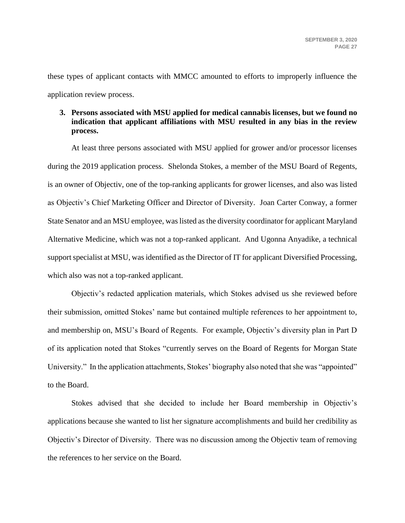these types of applicant contacts with MMCC amounted to efforts to improperly influence the application review process.

### **3. Persons associated with MSU applied for medical cannabis licenses, but we found no indication that applicant affiliations with MSU resulted in any bias in the review process.**

At least three persons associated with MSU applied for grower and/or processor licenses during the 2019 application process. Shelonda Stokes, a member of the MSU Board of Regents, is an owner of Objectiv, one of the top-ranking applicants for grower licenses, and also was listed as Objectiv's Chief Marketing Officer and Director of Diversity. Joan Carter Conway, a former State Senator and an MSU employee, was listed as the diversity coordinator for applicant Maryland Alternative Medicine, which was not a top-ranked applicant. And Ugonna Anyadike, a technical support specialist at MSU, was identified as the Director of IT for applicant Diversified Processing, which also was not a top-ranked applicant.

Objectiv's redacted application materials, which Stokes advised us she reviewed before their submission, omitted Stokes' name but contained multiple references to her appointment to, and membership on, MSU's Board of Regents. For example, Objectiv's diversity plan in Part D of its application noted that Stokes "currently serves on the Board of Regents for Morgan State University." In the application attachments, Stokes' biography also noted that she was "appointed" to the Board.

Stokes advised that she decided to include her Board membership in Objectiv's applications because she wanted to list her signature accomplishments and build her credibility as Objectiv's Director of Diversity. There was no discussion among the Objectiv team of removing the references to her service on the Board.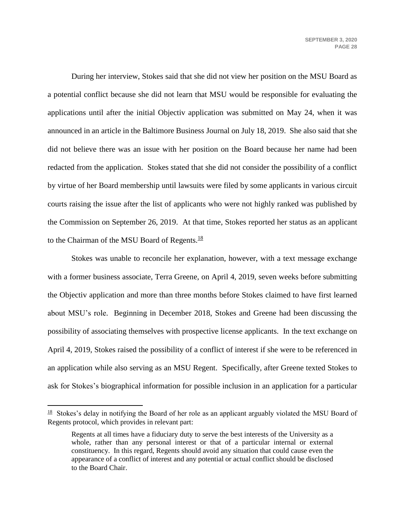<span id="page-28-0"></span>During her interview, Stokes said that she did not view her position on the MSU Board as a potential conflict because she did not learn that MSU would be responsible for evaluating the applications until after the initial Objectiv application was submitted on May 24, when it was announced in an article in the Baltimore Business Journal on July 18, 2019. She also said that she did not believe there was an issue with her position on the Board because her name had been redacted from the application. Stokes stated that she did not consider the possibility of a conflict by virtue of her Board membership until lawsuits were filed by some applicants in various circuit courts raising the issue after the list of applicants who were not highly ranked was published by the Commission on September 26, 2019. At that time, Stokes reported her status as an applicant to the Chairman of the MSU Board of Regents. $18$ 

Stokes was unable to reconcile her explanation, however, with a text message exchange with a former business associate, Terra Greene, on April 4, 2019, seven weeks before submitting the Objectiv application and more than three months before Stokes claimed to have first learned about MSU's role. Beginning in December 2018, Stokes and Greene had been discussing the possibility of associating themselves with prospective license applicants. In the text exchange on April 4, 2019, Stokes raised the possibility of a conflict of interest if she were to be referenced in an application while also serving as an MSU Regent. Specifically, after Greene texted Stokes to ask for Stokes's biographical information for possible inclusion in an application for a particular

<sup>&</sup>lt;sup>18</sup> Stokes's delay in notifying the Board of her role as an applicant arguably violated the MSU Board of Regents protocol, which provides in relevant part:

Regents at all times have a fiduciary duty to serve the best interests of the University as a whole, rather than any personal interest or that of a particular internal or external constituency. In this regard, Regents should avoid any situation that could cause even the appearance of a conflict of interest and any potential or actual conflict should be disclosed to the Board Chair.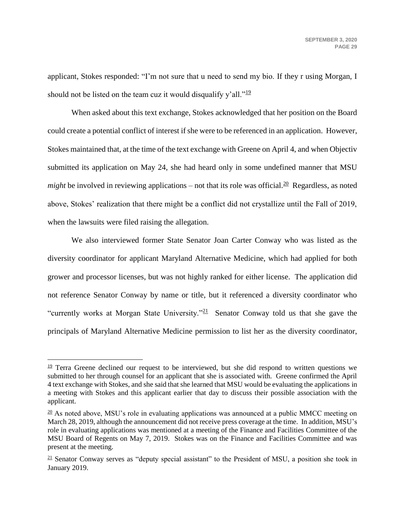applicant, Stokes responded: "I'm not sure that u need to send my bio. If they r using Morgan, I should not be listed on the team cuz it would disqualify y'all." $\frac{19}{2}$ 

When asked about this text exchange, Stokes acknowledged that her position on the Board could create a potential conflict of interest if she were to be referenced in an application. However, Stokes maintained that, at the time of the text exchange with Greene on April 4, and when Objectiv submitted its application on May 24, she had heard only in some undefined manner that MSU *might* be involved in reviewing applications – not that its role was official.<sup>20</sup> Regardless, as noted above, Stokes' realization that there might be a conflict did not crystallize until the Fall of 2019, when the lawsuits were filed raising the allegation.

We also interviewed former State Senator Joan Carter Conway who was listed as the diversity coordinator for applicant Maryland Alternative Medicine, which had applied for both grower and processor licenses, but was not highly ranked for either license. The application did not reference Senator Conway by name or title, but it referenced a diversity coordinator who "currently works at Morgan State University."<sup>21</sup> Senator Conway told us that she gave the principals of Maryland Alternative Medicine permission to list her as the diversity coordinator,

 $19$  Terra Greene declined our request to be interviewed, but she did respond to written questions we submitted to her through counsel for an applicant that she is associated with. Greene confirmed the April 4 text exchange with Stokes, and she said that she learned that MSU would be evaluating the applications in a meeting with Stokes and this applicant earlier that day to discuss their possible association with the applicant.

 $\frac{20}{20}$  As noted above, MSU's role in evaluating applications was announced at a public MMCC meeting on March 28, 2019, although the announcement did not receive press coverage at the time. In addition, MSU's role in evaluating applications was mentioned at a meeting of the Finance and Facilities Committee of the MSU Board of Regents on May 7, 2019. Stokes was on the Finance and Facilities Committee and was present at the meeting.

 $\frac{21}{21}$  Senator Conway serves as "deputy special assistant" to the President of MSU, a position she took in January 2019.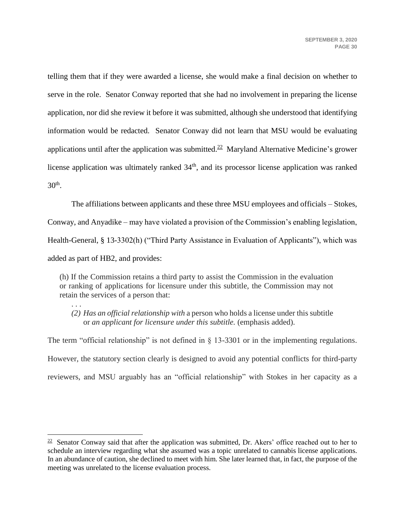telling them that if they were awarded a license, she would make a final decision on whether to serve in the role. Senator Conway reported that she had no involvement in preparing the license application, nor did she review it before it was submitted, although she understood that identifying information would be redacted. Senator Conway did not learn that MSU would be evaluating applications until after the application was submitted.<sup>22</sup> Maryland Alternative Medicine's grower license application was ultimately ranked  $34<sup>th</sup>$ , and its processor license application was ranked  $30<sup>th</sup>$ .

The affiliations between applicants and these three MSU employees and officials – Stokes, Conway, and Anyadike – may have violated a provision of the Commission's enabling legislation, Health-General, § 13-3302(h) ("Third Party Assistance in Evaluation of Applicants"), which was added as part of HB2, and provides:

(h) If the Commission retains a third party to assist the Commission in the evaluation or ranking of applications for licensure under this subtitle, the Commission may not retain the services of a person that:

. . . *(2) Has an official relationship with* a person who holds a license under this subtitle or *an applicant for licensure under this subtitle.* (emphasis added).

The term "official relationship" is not defined in § 13-3301 or in the implementing regulations. However, the statutory section clearly is designed to avoid any potential conflicts for third-party reviewers, and MSU arguably has an "official relationship" with Stokes in her capacity as a

<sup>&</sup>lt;sup>22</sup> Senator Conway said that after the application was submitted, Dr. Akers' office reached out to her to schedule an interview regarding what she assumed was a topic unrelated to cannabis license applications. In an abundance of caution, she declined to meet with him. She later learned that, in fact, the purpose of the meeting was unrelated to the license evaluation process.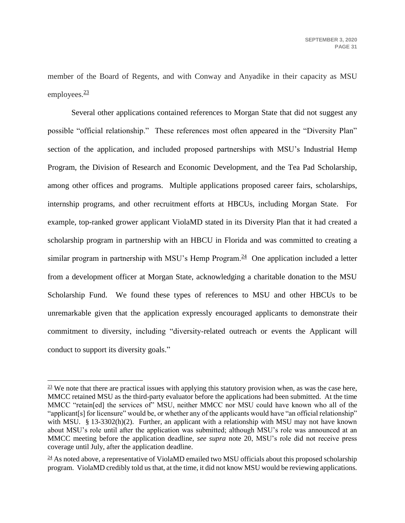member of the Board of Regents, and with Conway and Anyadike in their capacity as MSU employees. $\frac{23}{2}$ 

Several other applications contained references to Morgan State that did not suggest any possible "official relationship." These references most often appeared in the "Diversity Plan" section of the application, and included proposed partnerships with MSU's Industrial Hemp Program, the Division of Research and Economic Development, and the Tea Pad Scholarship, among other offices and programs. Multiple applications proposed career fairs, scholarships, internship programs, and other recruitment efforts at HBCUs, including Morgan State. For example, top-ranked grower applicant ViolaMD stated in its Diversity Plan that it had created a scholarship program in partnership with an HBCU in Florida and was committed to creating a similar program in partnership with MSU's Hemp Program. $\frac{24}{1}$  One application included a letter from a development officer at Morgan State, acknowledging a charitable donation to the MSU Scholarship Fund. We found these types of references to MSU and other HBCUs to be unremarkable given that the application expressly encouraged applicants to demonstrate their commitment to diversity, including "diversity-related outreach or events the Applicant will conduct to support its diversity goals."

 $\frac{23}{21}$  We note that there are practical issues with applying this statutory provision when, as was the case here, MMCC retained MSU as the third-party evaluator before the applications had been submitted. At the time MMCC "retain[ed] the services of" MSU, neither MMCC nor MSU could have known who all of the "applicant[s] for licensure" would be, or whether any of the applicants would have "an official relationship" with MSU. § 13-3302(h)(2). Further, an applicant with a relationship with MSU may not have known about MSU's role until after the application was submitted; although MSU's role was announced at an MMCC meeting before the application deadline, *see supra* note [20,](#page-28-0) MSU's role did not receive press coverage until July, after the application deadline.

 $\frac{24}{3}$  As noted above, a representative of ViolaMD emailed two MSU officials about this proposed scholarship program. ViolaMD credibly told us that, at the time, it did not know MSU would be reviewing applications.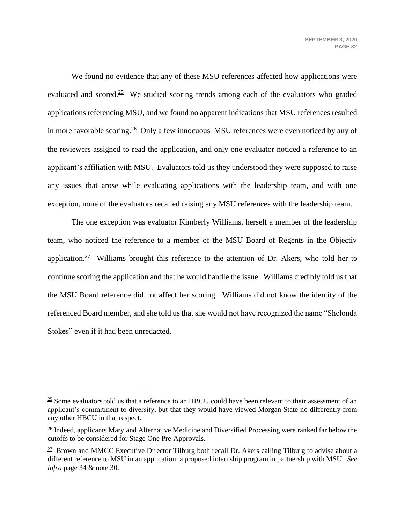We found no evidence that any of these MSU references affected how applications were evaluated and scored. $25$  We studied scoring trends among each of the evaluators who graded applications referencing MSU, and we found no apparent indications that MSU references resulted in more favorable scoring.<sup>26</sup> Only a few innocuous MSU references were even noticed by any of the reviewers assigned to read the application, and only one evaluator noticed a reference to an applicant's affiliation with MSU. Evaluators told us they understood they were supposed to raise any issues that arose while evaluating applications with the leadership team, and with one exception, none of the evaluators recalled raising any MSU references with the leadership team.

The one exception was evaluator Kimberly Williams, herself a member of the leadership team, who noticed the reference to a member of the MSU Board of Regents in the Objectiv application.<sup>27</sup> Williams brought this reference to the attention of Dr. Akers, who told her to continue scoring the application and that he would handle the issue. Williams credibly told us that the MSU Board reference did not affect her scoring. Williams did not know the identity of the referenced Board member, and she told us that she would not have recognized the name "Shelonda Stokes" even if it had been unredacted.

 $\frac{25}{25}$  Some evaluators told us that a reference to an HBCU could have been relevant to their assessment of an applicant's commitment to diversity, but that they would have viewed Morgan State no differently from any other HBCU in that respect.

 $\frac{26}{3}$  Indeed, applicants Maryland Alternative Medicine and Diversified Processing were ranked far below the cutoffs to be considered for Stage One Pre-Approvals.

<sup>&</sup>lt;sup>27</sup> Brown and MMCC Executive Director Tilburg both recall Dr. Akers calling Tilburg to advise about a different reference to MSU in an application: a proposed internship program in partnership with MSU. *See infra* page 34 & note [30.](#page-33-0)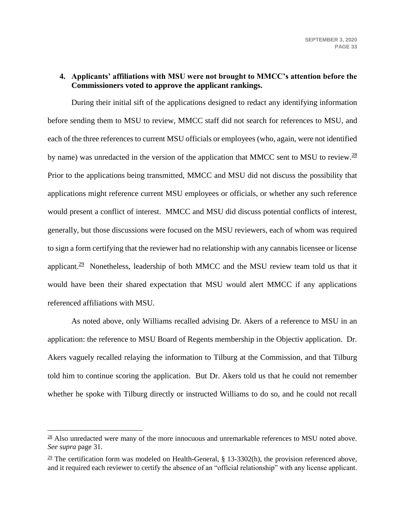### <span id="page-33-0"></span>**4. Applicants' affiliations with MSU were not brought to MMCC's attention before the Commissioners voted to approve the applicant rankings.**

During their initial sift of the applications designed to redact any identifying information before sending them to MSU to review, MMCC staff did not search for references to MSU, and each of the three references to current MSU officials or employees (who, again, were not identified by name) was unredacted in the version of the application that MMCC sent to MSU to review.  $\frac{28}{2}$ Prior to the applications being transmitted, MMCC and MSU did not discuss the possibility that applications might reference current MSU employees or officials, or whether any such reference would present a conflict of interest. MMCC and MSU did discuss potential conflicts of interest, generally, but those discussions were focused on the MSU reviewers, each of whom was required to sign a form certifying that the reviewer had no relationship with any cannabis licensee or license applicant.<sup>29</sup> Nonetheless, leadership of both MMCC and the MSU review team told us that it would have been their shared expectation that MSU would alert MMCC if any applications referenced affiliations with MSU.

As noted above, only Williams recalled advising Dr. Akers of a reference to MSU in an application: the reference to MSU Board of Regents membership in the Objectiv application. Dr. Akers vaguely recalled relaying the information to Tilburg at the Commission, and that Tilburg told him to continue scoring the application. But Dr. Akers told us that he could not remember whether he spoke with Tilburg directly or instructed Williams to do so, and he could not recall

 $\frac{28}{10}$  Also unredacted were many of the more innocuous and unremarkable references to MSU noted above. *See supra* page 31.

 $\frac{29}{2}$  The certification form was modeled on Health-General, § 13-3302(h), the provision referenced above, and it required each reviewer to certify the absence of an "official relationship" with any license applicant.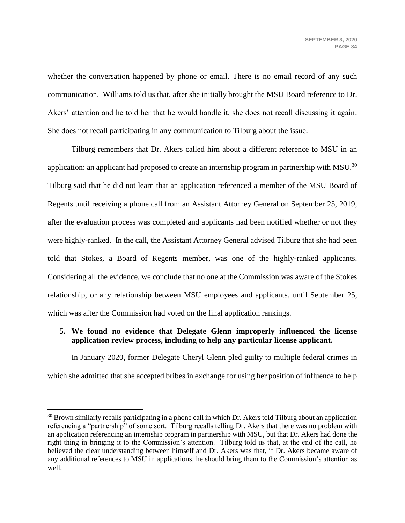whether the conversation happened by phone or email. There is no email record of any such communication. Williams told us that, after she initially brought the MSU Board reference to Dr. Akers' attention and he told her that he would handle it, she does not recall discussing it again. She does not recall participating in any communication to Tilburg about the issue.

Tilburg remembers that Dr. Akers called him about a different reference to MSU in an application: an applicant had proposed to create an internship program in partnership with MSU.<sup>30</sup> Tilburg said that he did not learn that an application referenced a member of the MSU Board of Regents until receiving a phone call from an Assistant Attorney General on September 25, 2019, after the evaluation process was completed and applicants had been notified whether or not they were highly-ranked. In the call, the Assistant Attorney General advised Tilburg that she had been told that Stokes, a Board of Regents member, was one of the highly-ranked applicants. Considering all the evidence, we conclude that no one at the Commission was aware of the Stokes relationship, or any relationship between MSU employees and applicants, until September 25, which was after the Commission had voted on the final application rankings.

# **5. We found no evidence that Delegate Glenn improperly influenced the license application review process, including to help any particular license applicant.**

In January 2020, former Delegate Cheryl Glenn pled guilty to multiple federal crimes in which she admitted that she accepted bribes in exchange for using her position of influence to help

 $30$  Brown similarly recalls participating in a phone call in which Dr. Akers told Tilburg about an application referencing a "partnership" of some sort. Tilburg recalls telling Dr. Akers that there was no problem with an application referencing an internship program in partnership with MSU, but that Dr. Akers had done the right thing in bringing it to the Commission's attention. Tilburg told us that, at the end of the call, he believed the clear understanding between himself and Dr. Akers was that, if Dr. Akers became aware of any additional references to MSU in applications, he should bring them to the Commission's attention as well.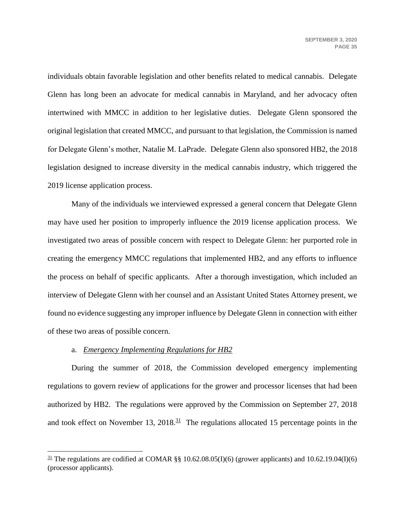individuals obtain favorable legislation and other benefits related to medical cannabis. Delegate Glenn has long been an advocate for medical cannabis in Maryland, and her advocacy often intertwined with MMCC in addition to her legislative duties. Delegate Glenn sponsored the original legislation that created MMCC, and pursuant to that legislation, the Commission is named for Delegate Glenn's mother, Natalie M. LaPrade. Delegate Glenn also sponsored HB2, the 2018 legislation designed to increase diversity in the medical cannabis industry, which triggered the 2019 license application process.

Many of the individuals we interviewed expressed a general concern that Delegate Glenn may have used her position to improperly influence the 2019 license application process. We investigated two areas of possible concern with respect to Delegate Glenn: her purported role in creating the emergency MMCC regulations that implemented HB2, and any efforts to influence the process on behalf of specific applicants. After a thorough investigation, which included an interview of Delegate Glenn with her counsel and an Assistant United States Attorney present, we found no evidence suggesting any improper influence by Delegate Glenn in connection with either of these two areas of possible concern.

#### a. *Emergency Implementing Regulations for HB2*

 $\overline{a}$ 

During the summer of 2018, the Commission developed emergency implementing regulations to govern review of applications for the grower and processor licenses that had been authorized by HB2. The regulations were approved by the Commission on September 27, 2018 and took effect on November 13,  $2018<sup>31</sup>$  The regulations allocated 15 percentage points in the

 $\frac{31}{2}$  The regulations are codified at COMAR §§ 10.62.08.05(I)(6) (grower applicants) and 10.62.19.04(I)(6) (processor applicants).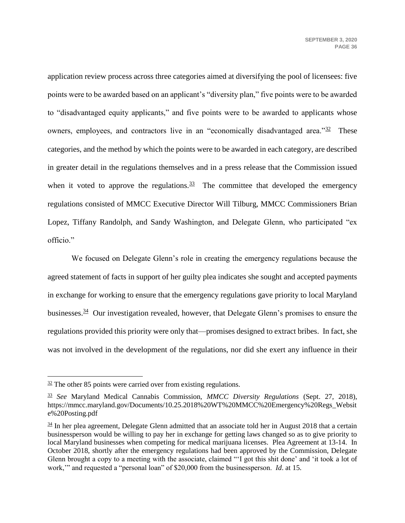application review process across three categories aimed at diversifying the pool of licensees: five points were to be awarded based on an applicant's "diversity plan," five points were to be awarded to "disadvantaged equity applicants," and five points were to be awarded to applicants whose owners, employees, and contractors live in an "economically disadvantaged area." $32$  These categories, and the method by which the points were to be awarded in each category, are described in greater detail in the regulations themselves and in a press release that the Commission issued when it voted to approve the regulations.  $33$  The committee that developed the emergency regulations consisted of MMCC Executive Director Will Tilburg, MMCC Commissioners Brian Lopez, Tiffany Randolph, and Sandy Washington, and Delegate Glenn, who participated "ex officio."

We focused on Delegate Glenn's role in creating the emergency regulations because the agreed statement of facts in support of her guilty plea indicates she sought and accepted payments in exchange for working to ensure that the emergency regulations gave priority to local Maryland businesses.<sup>34</sup> Our investigation revealed, however, that Delegate Glenn's promises to ensure the regulations provided this priority were only that—promises designed to extract bribes. In fact, she was not involved in the development of the regulations, nor did she exert any influence in their

 $32$  The other 85 points were carried over from existing regulations.

<sup>33</sup> *See* Maryland Medical Cannabis Commission, *MMCC Diversity Regulations* (Sept. 27, 2018), https://mmcc.maryland.gov/Documents/10.25.2018%20WT%20MMCC%20Emergency%20Regs\_Websit e%20Posting.pdf

 $\frac{34}{31}$  In her plea agreement, Delegate Glenn admitted that an associate told her in August 2018 that a certain businessperson would be willing to pay her in exchange for getting laws changed so as to give priority to local Maryland businesses when competing for medical marijuana licenses. Plea Agreement at 13-14. In October 2018, shortly after the emergency regulations had been approved by the Commission, Delegate Glenn brought a copy to a meeting with the associate, claimed "'I got this shit done' and 'it took a lot of work,'" and requested a "personal loan" of \$20,000 from the businessperson. *Id*. at 15.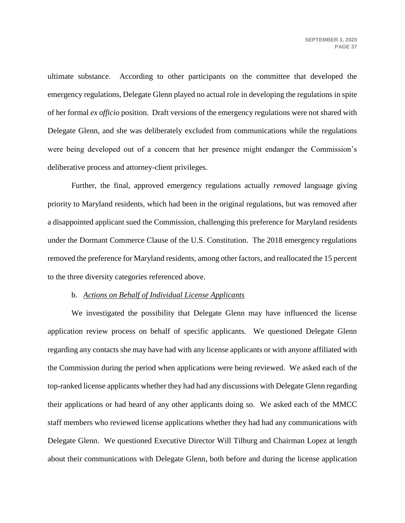ultimate substance. According to other participants on the committee that developed the emergency regulations, Delegate Glenn played no actual role in developing the regulations in spite of her formal *ex officio* position. Draft versions of the emergency regulations were not shared with Delegate Glenn, and she was deliberately excluded from communications while the regulations were being developed out of a concern that her presence might endanger the Commission's deliberative process and attorney-client privileges.

Further, the final, approved emergency regulations actually *removed* language giving priority to Maryland residents, which had been in the original regulations, but was removed after a disappointed applicant sued the Commission, challenging this preference for Maryland residents under the Dormant Commerce Clause of the U.S. Constitution. The 2018 emergency regulations removed the preference for Maryland residents, among other factors, and reallocated the 15 percent to the three diversity categories referenced above.

#### b. *Actions on Behalf of Individual License Applicants*

We investigated the possibility that Delegate Glenn may have influenced the license application review process on behalf of specific applicants. We questioned Delegate Glenn regarding any contacts she may have had with any license applicants or with anyone affiliated with the Commission during the period when applications were being reviewed. We asked each of the top-ranked license applicants whether they had had any discussions with Delegate Glenn regarding their applications or had heard of any other applicants doing so. We asked each of the MMCC staff members who reviewed license applications whether they had had any communications with Delegate Glenn. We questioned Executive Director Will Tilburg and Chairman Lopez at length about their communications with Delegate Glenn, both before and during the license application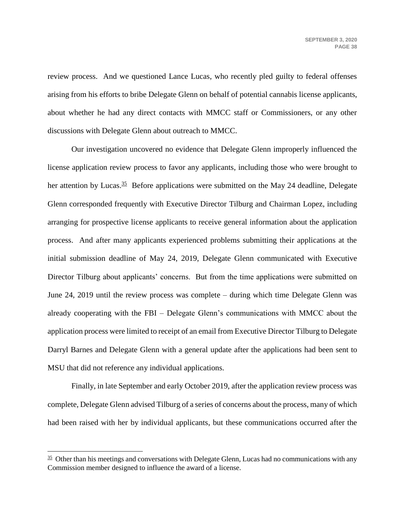review process. And we questioned Lance Lucas, who recently pled guilty to federal offenses arising from his efforts to bribe Delegate Glenn on behalf of potential cannabis license applicants, about whether he had any direct contacts with MMCC staff or Commissioners, or any other discussions with Delegate Glenn about outreach to MMCC.

Our investigation uncovered no evidence that Delegate Glenn improperly influenced the license application review process to favor any applicants, including those who were brought to her attention by Lucas.<sup>35</sup> Before applications were submitted on the May 24 deadline, Delegate Glenn corresponded frequently with Executive Director Tilburg and Chairman Lopez, including arranging for prospective license applicants to receive general information about the application process. And after many applicants experienced problems submitting their applications at the initial submission deadline of May 24, 2019, Delegate Glenn communicated with Executive Director Tilburg about applicants' concerns. But from the time applications were submitted on June 24, 2019 until the review process was complete – during which time Delegate Glenn was already cooperating with the FBI – Delegate Glenn's communications with MMCC about the application process were limited to receipt of an email from Executive Director Tilburg to Delegate Darryl Barnes and Delegate Glenn with a general update after the applications had been sent to MSU that did not reference any individual applications.

Finally, in late September and early October 2019, after the application review process was complete, Delegate Glenn advised Tilburg of a series of concerns about the process, many of which had been raised with her by individual applicants, but these communications occurred after the

 $\frac{35}{25}$  Other than his meetings and conversations with Delegate Glenn, Lucas had no communications with any Commission member designed to influence the award of a license.